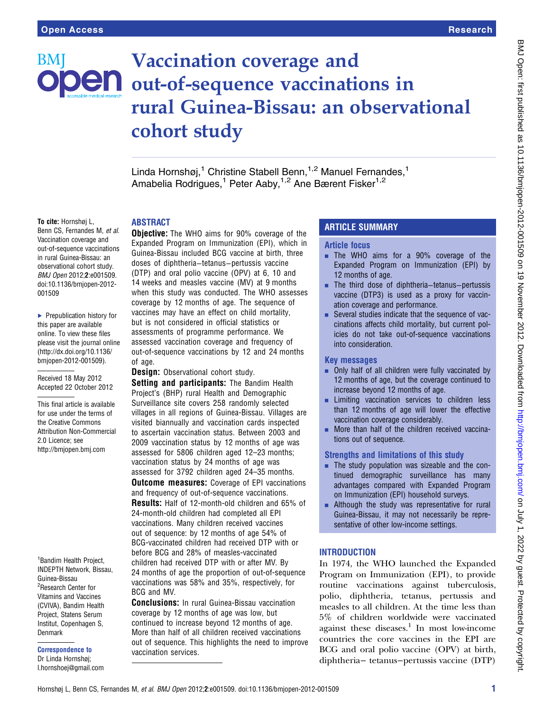# BMI

# Vaccination coverage and **Den** out-of-sequence vaccinations in rural Guinea-Bissau: an observational cohort study

Linda Hornshøj,<sup>1</sup> Christine Stabell Benn,<sup>1,2</sup> Manuel Fernandes,<sup>1</sup> Amabelia Rodrigues,<sup>1</sup> Peter Aaby,<sup>1,2</sup> Ane Bærent Fisker<sup>1,2</sup>

#### To cite: Hornshøj L,

Benn CS, Fernandes M, et al. Vaccination coverage and out-of-sequence vaccinations in rural Guinea-Bissau: an observational cohort study. BMJ Open 2012;2:e001509. doi:10.1136/bmjopen-2012- 001509

▶ Prepublication history for this paper are available online. To view these files please visit the journal online [\(http://dx.doi.org/10.1136/](http://dx.doi.org/10.1136/bmjopen-2012-001509) [bmjopen-2012-001509](http://dx.doi.org/10.1136/bmjopen-2012-001509)).

Received 18 May 2012 Accepted 22 October 2012

This final article is available for use under the terms of the Creative Commons Attribution Non-Commercial 2.0 Licence; see <http://bmjopen.bmj.com>

1 Bandim Health Project, INDEPTH Network, Bissau, Guinea-Bissau 2 Research Center for Vitamins and Vaccines (CVIVA), Bandim Health Project, Statens Serum Institut, Copenhagen S, Denmark

Correspondence to Dr Linda Hornshøj; l.hornshoej@gmail.com

# ABSTRACT

**Objective:** The WHO aims for 90% coverage of the Expanded Program on Immunization (EPI), which in Guinea-Bissau included BCG vaccine at birth, three doses of diphtheria−tetanus−pertussis vaccine (DTP) and oral polio vaccine (OPV) at 6, 10 and 14 weeks and measles vaccine (MV) at 9 months when this study was conducted. The WHO assesses coverage by 12 months of age. The sequence of vaccines may have an effect on child mortality, but is not considered in official statistics or assessments of programme performance. We assessed vaccination coverage and frequency of out-of-sequence vaccinations by 12 and 24 months of age.

Design: Observational cohort study. Setting and participants: The Bandim Health Project's (BHP) rural Health and Demographic Surveillance site covers 258 randomly selected villages in all regions of Guinea-Bissau. Villages are visited biannually and vaccination cards inspected to ascertain vaccination status. Between 2003 and 2009 vaccination status by 12 months of age was assessed for 5806 children aged 12–23 months; vaccination status by 24 months of age was assessed for 3792 children aged 24–35 months. **Outcome measures:** Coverage of EPI vaccinations and frequency of out-of-sequence vaccinations. Results: Half of 12-month-old children and 65% of 24-month-old children had completed all EPI vaccinations. Many children received vaccines out of sequence: by 12 months of age 54% of BCG-vaccinated children had received DTP with or before BCG and 28% of measles-vaccinated children had received DTP with or after MV. By 24 months of age the proportion of out-of-sequence vaccinations was 58% and 35%, respectively, for BCG and MV.

Conclusions: In rural Guinea-Bissau vaccination coverage by 12 months of age was low, but continued to increase beyond 12 months of age. More than half of all children received vaccinations out of sequence. This highlights the need to improve vaccination services.

# ARTICLE SUMMARY

# Article focus

- **E** The WHO aims for a 90% coverage of the Expanded Program on Immunization (EPI) by 12 months of age.
- The third dose of diphtheria–tetanus–pertussis vaccine (DTP3) is used as a proxy for vaccination coverage and performance.
- Several studies indicate that the sequence of vaccinations affects child mortality, but current policies do not take out-of-sequence vaccinations into consideration.

#### Key messages

- $\blacksquare$  Only half of all children were fully vaccinated by 12 months of age, but the coverage continued to increase beyond 12 months of age.
- **EXECUTE:** Limiting vaccination services to children less than 12 months of age will lower the effective vaccination coverage considerably.
- More than half of the children received vaccinations out of sequence.

# Strengths and limitations of this study

- $\blacksquare$  The study population was sizeable and the continued demographic surveillance has many advantages compared with Expanded Program on Immunization (EPI) household surveys.
- $\blacksquare$  Although the study was representative for rural Guinea-Bissau, it may not necessarily be representative of other low-income settings.

# **INTRODUCTION**

In 1974, the WHO launched the Expanded Program on Immunization (EPI), to provide routine vaccinations against tuberculosis, polio, diphtheria, tetanus, pertussis and measles to all children. At the time less than 5% of children worldwide were vaccinated against these diseases. $\frac{1}{1}$  In most low-income countries the core vaccines in the EPI are BCG and oral polio vaccine (OPV) at birth, diphtheria− tetanus−pertussis vaccine (DTP)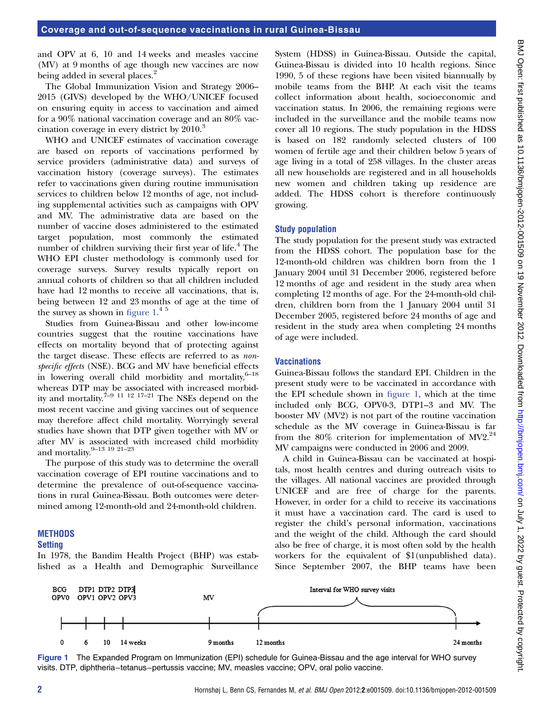and OPV at 6, 10 and 14 weeks and measles vaccine (MV) at 9 months of age though new vaccines are now being added in several places.<sup>2</sup>

The Global Immunization Vision and Strategy 2006– 2015 (GIVS) developed by the WHO/UNICEF focused on ensuring equity in access to vaccination and aimed for a 90% national vaccination coverage and an 80% vaccination coverage in every district by 2010.<sup>3</sup>

WHO and UNICEF estimates of vaccination coverage are based on reports of vaccinations performed by service providers (administrative data) and surveys of vaccination history (coverage surveys). The estimates refer to vaccinations given during routine immunisation services to children below 12 months of age, not including supplemental activities such as campaigns with OPV and MV. The administrative data are based on the number of vaccine doses administered to the estimated target population, most commonly the estimated number of children surviving their first year of life.<sup>4</sup> The WHO EPI cluster methodology is commonly used for coverage surveys. Survey results typically report on annual cohorts of children so that all children included have had 12 months to receive all vaccinations, that is, being between 12 and 23 months of age at the time of the survey as shown in figure  $1.^4$ <sup>5</sup>

Studies from Guinea-Bissau and other low-income countries suggest that the routine vaccinations have effects on mortality beyond that of protecting against the target disease. These effects are referred to as nonspecific effects (NSE). BCG and MV have beneficial effects in lowering overall child morbidity and mortality, $6-18$ whereas DTP may be associated with increased morbidity and mortality.<sup> $7-9$  11 <sup>12</sup> 17–21 The NSEs depend on the</sup> most recent vaccine and giving vaccines out of sequence may therefore affect child mortality. Worryingly several studies have shown that DTP given together with MV or after MV is associated with increased child morbidity and mortality. $9-13$  19 21-23

The purpose of this study was to determine the overall vaccination coverage of EPI routine vaccinations and to determine the prevalence of out-of-sequence vaccinations in rural Guinea-Bissau. Both outcomes were determined among 12-month-old and 24-month-old children.

#### **METHODS**

#### **Setting**

In 1978, the Bandim Health Project (BHP) was established as a Health and Demographic Surveillance

System (HDSS) in Guinea-Bissau. Outside the capital, Guinea-Bissau is divided into 10 health regions. Since 1990, 5 of these regions have been visited biannually by mobile teams from the BHP. At each visit the teams collect information about health, socioeconomic and vaccination status. In 2006, the remaining regions were included in the surveillance and the mobile teams now cover all 10 regions. The study population in the HDSS is based on 182 randomly selected clusters of 100 women of fertile age and their children below 5 years of age living in a total of 258 villages. In the cluster areas all new households are registered and in all households new women and children taking up residence are added. The HDSS cohort is therefore continuously growing.

#### Study population

The study population for the present study was extracted from the HDSS cohort. The population base for the 12-month-old children was children born from the 1 January 2004 until 31 December 2006, registered before 12 months of age and resident in the study area when completing 12 months of age. For the 24-month-old children, children born from the 1 January 2004 until 31 December 2005, registered before 24 months of age and resident in the study area when completing 24 months of age were included.

#### **Vaccinations**

Guinea-Bissau follows the standard EPI. Children in the present study were to be vaccinated in accordance with the EPI schedule shown in figure 1, which at the time included only BCG, OPV0-3, DTP1–3 and MV. The booster MV (MV2) is not part of the routine vaccination schedule as the MV coverage in Guinea-Bissau is far from the  $80\%$  criterion for implementation of MV2.<sup>24</sup> MV campaigns were conducted in 2006 and 2009.

A child in Guinea-Bissau can be vaccinated at hospitals, most health centres and during outreach visits to the villages. All national vaccines are provided through UNICEF and are free of charge for the parents. However, in order for a child to receive its vaccinations it must have a vaccination card. The card is used to register the child's personal information, vaccinations and the weight of the child. Although the card should also be free of charge, it is most often sold by the health workers for the equivalent of \$1(unpublished data). Since September 2007, the BHP teams have been



Figure 1 The Expanded Program on Immunization (EPI) schedule for Guinea-Bissau and the age interval for WHO survey visits. DTP, diphtheria−tetanus−pertussis vaccine; MV, measles vaccine; OPV, oral polio vaccine.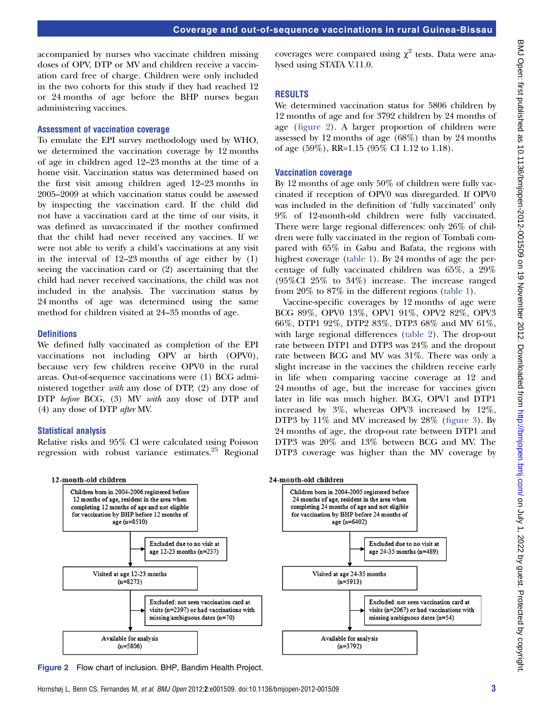accompanied by nurses who vaccinate children missing doses of OPV, DTP or MV and children receive a vaccination card free of charge. Children were only included in the two cohorts for this study if they had reached 12 or 24 months of age before the BHP nurses began administering vaccines.

#### Assessment of vaccination coverage

To emulate the EPI survey methodology used by WHO, we determined the vaccination coverage by 12 months of age in children aged 12–23 months at the time of a home visit. Vaccination status was determined based on the first visit among children aged 12–23 months in 2005–2009 at which vaccination status could be assessed by inspecting the vaccination card. If the child did not have a vaccination card at the time of our visits, it was defined as unvaccinated if the mother confirmed that the child had never received any vaccines. If we were not able to verify a child's vaccinations at any visit in the interval of 12–23 months of age either by (1) seeing the vaccination card or (2) ascertaining that the child had never received vaccinations, the child was not included in the analysis. The vaccination status by 24 months of age was determined using the same method for children visited at 24–35 months of age.

#### **Definitions**

We defined fully vaccinated as completion of the EPI vaccinations not including OPV at birth (OPV0), because very few children receive OPV0 in the rural areas. Out-of-sequence vaccinations were (1) BCG administered together with any dose of DTP, (2) any dose of DTP before BCG, (3) MV with any dose of DTP and (4) any dose of DTP after MV.

#### Statistical analysis

Relative risks and 95% CI were calculated using Poisson regression with robust variance estimates. $25$  Regional

coverages were compared using  $\chi^2$  tests. Data were analysed using STATA V.11.0.

#### RESULTS

We determined vaccination status for 5806 children by 12 months of age and for 3792 children by 24 months of age (figure 2). A larger proportion of children were assessed by 12 months of age (68%) than by 24 months of age (59%), RR=1.15 (95% CI 1.12 to 1.18).

#### Vaccination coverage

By 12 months of age only 50% of children were fully vaccinated if reception of OPV0 was disregarded. If OPV0 was included in the definition of 'fully vaccinated' only 9% of 12-month-old children were fully vaccinated. There were large regional differences: only 26% of children were fully vaccinated in the region of Tombali compared with 65% in Gabu and Bafata, the regions with highest coverage (table 1). By 24 months of age the percentage of fully vaccinated children was 65%, a 29% (95%CI 25% to 34%) increase. The increase ranged from 20% to 87% in the different regions (table 1).

Vaccine-specific coverages by 12 months of age were BCG 89%, OPV0 13%, OPV1 91%, OPV2 82%, OPV3 66%, DTP1 92%, DTP2 83%, DTP3 68% and MV 61%, with large regional differences (table 2). The drop-out rate between DTP1 and DTP3 was 24% and the dropout rate between BCG and MV was 31%. There was only a slight increase in the vaccines the children receive early in life when comparing vaccine coverage at 12 and 24 months of age, but the increase for vaccines given later in life was much higher. BCG, OPV1 and DTP1 increased by 3%, whereas OPV3 increased by 12%, DTP3 by 11% and MV increased by 28% (figure 3). By 24 months of age, the drop-out rate between DTP1 and DTP3 was 20% and 13% between BCG and MV. The DTP3 coverage was higher than the MV coverage by



Figure 2 Flow chart of inclusion. BHP, Bandim Health Project.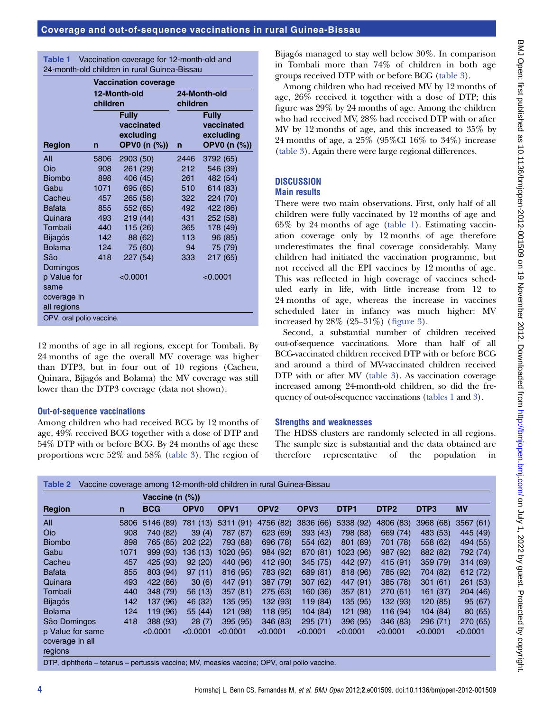| <b>Table 1</b> | Vaccination coverage for 12-month-old and    |
|----------------|----------------------------------------------|
|                | 24-month-old children in rural Guinea-Bissau |

|                            | <b>Vaccination coverage</b> |                                                         |                          |                                                         |  |  |  |  |  |
|----------------------------|-----------------------------|---------------------------------------------------------|--------------------------|---------------------------------------------------------|--|--|--|--|--|
|                            | children                    | 12-Month-old                                            | 24-Month-old<br>children |                                                         |  |  |  |  |  |
| <b>Region</b>              | n                           | <b>Fully</b><br>vaccinated<br>excluding<br>OPV0 (n (%)) | $\mathsf{n}$             | <b>Fully</b><br>vaccinated<br>excluding<br>OPV0 (n (%)) |  |  |  |  |  |
| All                        | 5806                        | 2903 (50)                                               | 2446                     | 3792 (65)                                               |  |  |  |  |  |
| Oio                        | 908                         | 261 (29)                                                | 212                      | 546 (39)                                                |  |  |  |  |  |
| <b>Biombo</b>              | 898                         | 406 (45)                                                | 261                      | 482 (54)                                                |  |  |  |  |  |
| Gabu                       | 1071                        | 695 (65)                                                | 510                      | 614 (83)                                                |  |  |  |  |  |
| Cacheu                     | 457                         | 265 (58)                                                | 322                      | 224 (70)                                                |  |  |  |  |  |
| Bafata                     | 855                         | 552 (65)                                                | 492                      | 422 (86)                                                |  |  |  |  |  |
| Quinara                    | 493                         | 219 (44)                                                | 431                      | 252 (58)                                                |  |  |  |  |  |
| Tombali                    | 440                         | 115 (26)                                                | 365                      | 178 (49)                                                |  |  |  |  |  |
| <b>Bijagós</b>             | 142                         | 88 (62)                                                 | 113                      | 96 (85)                                                 |  |  |  |  |  |
| <b>Bolama</b>              | 124                         | 75 (60)                                                 | 94                       | 75 (79)                                                 |  |  |  |  |  |
| São                        | 418                         | 227 (54)                                                | 333                      | 217 (65)                                                |  |  |  |  |  |
| Domingos                   |                             |                                                         |                          |                                                         |  |  |  |  |  |
| p Value for                |                             | < 0.0001                                                |                          | < 0.0001                                                |  |  |  |  |  |
| same                       |                             |                                                         |                          |                                                         |  |  |  |  |  |
| coverage in<br>all regions |                             |                                                         |                          |                                                         |  |  |  |  |  |
| OPV, oral polio vaccine.   |                             |                                                         |                          |                                                         |  |  |  |  |  |

12 months of age in all regions, except for Tombali. By 24 months of age the overall MV coverage was higher than DTP3, but in four out of 10 regions (Cacheu, Quinara, Bijagós and Bolama) the MV coverage was still lower than the DTP3 coverage (data not shown).

#### Out-of-sequence vaccinations

Among children who had received BCG by 12 months of age, 49% received BCG together with a dose of DTP and 54% DTP with or before BCG. By 24 months of age these proportions were 52% and 58% (table 3). The region of Bijagós managed to stay well below 30%. In comparison in Tombali more than 74% of children in both age groups received DTP with or before BCG (table 3).

Among children who had received MV by 12 months of age, 26% received it together with a dose of DTP; this figure was 29% by 24 months of age. Among the children who had received MV, 28% had received DTP with or after MV by 12 months of age, and this increased to 35% by 24 months of age, a 25% (95%CI 16% to 34%) increase (table 3). Again there were large regional differences.

# **DISCUSSION**

# Main results

There were two main observations. First, only half of all children were fully vaccinated by 12 months of age and 65% by 24 months of age (table 1). Estimating vaccination coverage only by 12 months of age therefore underestimates the final coverage considerably. Many children had initiated the vaccination programme, but not received all the EPI vaccines by 12 months of age. This was reflected in high coverage of vaccines scheduled early in life, with little increase from 12 to 24 months of age, whereas the increase in vaccines scheduled later in infancy was much higher: MV increased by 28% (25–31%) (figure 3).

Second, a substantial number of children received out-of-sequence vaccinations. More than half of all BCG-vaccinated children received DTP with or before BCG and around a third of MV-vaccinated children received DTP with or after MV (table 3). As vaccination coverage increased among 24-month-old children, so did the frequency of out-of-sequence vaccinations (tables 1 and 3).

# Strengths and weaknesses

The HDSS clusters are randomly selected in all regions. The sample size is substantial and the data obtained are therefore representative of the population in

|                                                |              | Vaccine (n (%)) |                        |                  |                  |                  |                  |                  |                  |           |  |  |
|------------------------------------------------|--------------|-----------------|------------------------|------------------|------------------|------------------|------------------|------------------|------------------|-----------|--|--|
| <b>Region</b>                                  | $\mathsf{n}$ | <b>BCG</b>      | <b>OPV<sub>0</sub></b> | OPV <sub>1</sub> | OPV <sub>2</sub> | OPV <sub>3</sub> | DTP <sub>1</sub> | DTP <sub>2</sub> | DTP <sub>3</sub> | <b>MV</b> |  |  |
| All                                            | 5806         | 5146 (89)       | 781 (13)               | 5311(91)         | 4756 (82)        | 3836 (66)        | 5338 (92)        | 4806 (83)        | 3968 (68)        | 3567(61)  |  |  |
| <b>Oio</b>                                     | 908          | 740 (82)        | 39(4)                  | 787 (87)         | 623 (69)         | 393(43)          | 798 (88)         | 669(74)          | 483(53)          | 445 (49)  |  |  |
| <b>Biombo</b>                                  | 898          | 765 (85)        | 202(22)                | 793 (88)         | 696 (78)         | 554 (62)         | 801 (89)         | 701 (78)         | 558 (62)         | 494 (55)  |  |  |
| Gabu                                           | 1071         | 999 (93)        | 136 (13)               | 1020 (95)        | 984 (92)         | 870 (81)         | 1023 (96)        | 987 (92)         | 882 (82)         | 792 (74)  |  |  |
| Cacheu                                         | 457          | 425 (93)        | 92(20)                 | 440 (96)         | 412 (90)         | 345(75)          | 442 (97)         | 415 (91)         | 359 (79)         | 314(69)   |  |  |
| <b>Bafata</b>                                  | 855          | 803 (94)        | 97(11)                 | 816(95)          | 783 (92)         | 689 (81)         | 818(96)          | 785 (92)         | 704 (82)         | 612(72)   |  |  |
| Quinara                                        | 493          | 422 (86)        | 30(6)                  | 447 (91)         | 387 (79)         | 307(62)          | 447 (91)         | 385 (78)         | 301(61)          | 261(53)   |  |  |
| Tombali                                        | 440          | 348 (79)        | 56 (13)                | 357(81)          | 275 (63)         | 160 (36)         | 357(81)          | 270(61)          | 161 (37)         | 204 (46)  |  |  |
| <b>Bijagós</b>                                 | 142          | 137 (96)        | 46 (32)                | 135 (95)         | 132 (93)         | 119 (84)         | 135 (95)         | 132 (93)         | 120(85)          | 95 (67)   |  |  |
| <b>Bolama</b>                                  | 124          | 119(96)         | 55 (44)                | 121 (98)         | 118 (95)         | 104(84)          | 121 (98)         | 116(94)          | 104(84)          | 80 (65)   |  |  |
| São Domingos                                   | 418          | 388 (93)        | 28(7)                  | 395(95)          | 346(83)          | 295(71)          | 396(95)          | 346(83)          | 296(71)          | 270 (65)  |  |  |
| p Value for same<br>coverage in all<br>regions |              | < 0.0001        | < 0.0001               | < 0.0001         | < 0.0001         | < 0.0001         | < 0.0001         | < 0.0001         | < 0.0001         | < 0.0001  |  |  |

DTP, diphtheria − tetanus − pertussis vaccine; MV, measles vaccine; OPV, oral polio vaccine.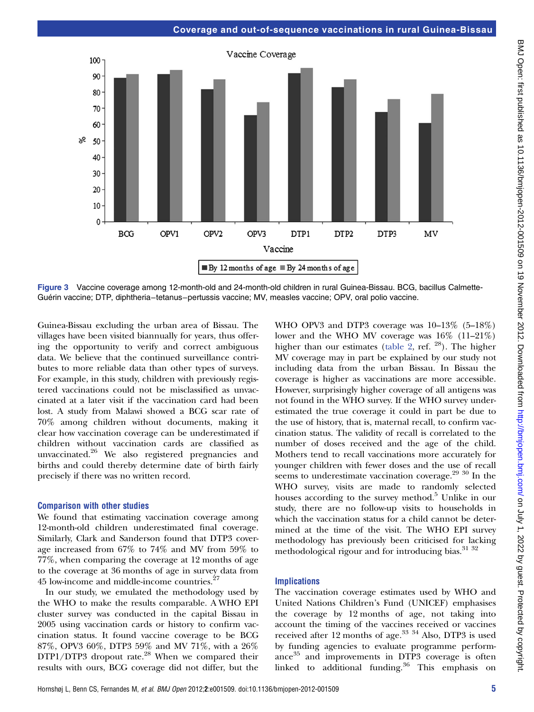

Figure 3 Vaccine coverage among 12-month-old and 24-month-old children in rural Guinea-Bissau. BCG, bacillus Calmette-Guérin vaccine; DTP, diphtheria−tetanus−pertussis vaccine; MV, measles vaccine; OPV, oral polio vaccine.

Guinea-Bissau excluding the urban area of Bissau. The villages have been visited biannually for years, thus offering the opportunity to verify and correct ambiguous data. We believe that the continued surveillance contributes to more reliable data than other types of surveys. For example, in this study, children with previously registered vaccinations could not be misclassified as unvaccinated at a later visit if the vaccination card had been lost. A study from Malawi showed a BCG scar rate of 70% among children without documents, making it clear how vaccination coverage can be underestimated if children without vaccination cards are classified as unvaccinated.<sup>26</sup> We also registered pregnancies and births and could thereby determine date of birth fairly precisely if there was no written record.

#### Comparison with other studies

We found that estimating vaccination coverage among 12-month-old children underestimated final coverage. Similarly, Clark and Sanderson found that DTP3 coverage increased from 67% to 74% and MV from 59% to 77%, when comparing the coverage at 12 months of age to the coverage at 36 months of age in survey data from 45 low-income and middle-income countries.<sup>27</sup>

In our study, we emulated the methodology used by the WHO to make the results comparable. A WHO EPI cluster survey was conducted in the capital Bissau in 2005 using vaccination cards or history to confirm vaccination status. It found vaccine coverage to be BCG 87%, OPV3 60%, DTP3 59% and MV 71%, with a 26%  $DTP1/DTP3$  dropout rate.<sup>28</sup> When we compared their results with ours, BCG coverage did not differ, but the

WHO OPV3 and DTP3 coverage was  $10-13\%$  (5-18%) lower and the WHO MV coverage was 16% (11–21%) higher than our estimates (table 2, ref.  $^{28}$ ). The higher MV coverage may in part be explained by our study not including data from the urban Bissau. In Bissau the coverage is higher as vaccinations are more accessible. However, surprisingly higher coverage of all antigens was not found in the WHO survey. If the WHO survey underestimated the true coverage it could in part be due to the use of history, that is, maternal recall, to confirm vaccination status. The validity of recall is correlated to the number of doses received and the age of the child. Mothers tend to recall vaccinations more accurately for younger children with fewer doses and the use of recall seems to underestimate vaccination coverage.<sup>29 30</sup> In the WHO survey, visits are made to randomly selected houses according to the survey method. $5$  Unlike in our study, there are no follow-up visits to households in which the vaccination status for a child cannot be determined at the time of the visit. The WHO EPI survey methodology has previously been criticised for lacking methodological rigour and for introducing bias.<sup>31</sup> <sup>32</sup>

#### **Implications**

The vaccination coverage estimates used by WHO and United Nations Children's Fund (UNICEF) emphasises the coverage by 12 months of age, not taking into account the timing of the vaccines received or vaccines received after 12 months of age.<sup>33 34</sup> Also, DTP3 is used by funding agencies to evaluate programme performance<sup>35</sup> and improvements in DTP3 coverage is often linked to additional funding.<sup>36</sup> This emphasis on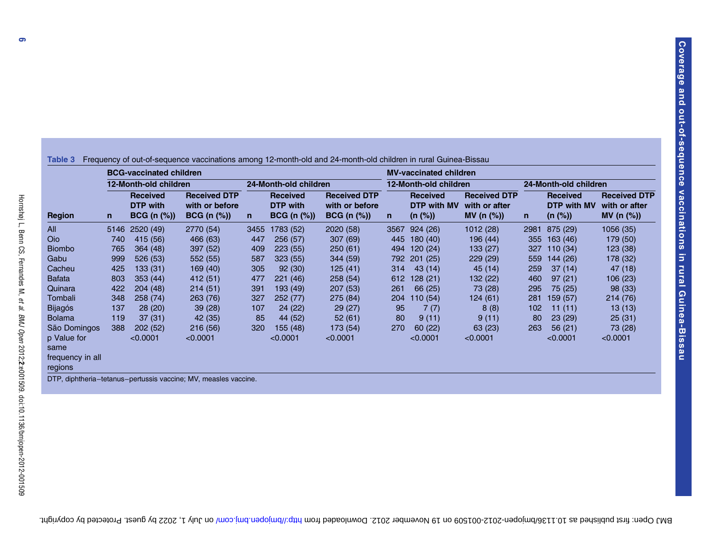|                                                    | <b>BCG-vaccinated children</b> |                                                   |                                                         |              |                                                   |                                                             |              | <b>MV-vaccinated children</b>             |                                                        |              |                                           |                                                    |  |  |
|----------------------------------------------------|--------------------------------|---------------------------------------------------|---------------------------------------------------------|--------------|---------------------------------------------------|-------------------------------------------------------------|--------------|-------------------------------------------|--------------------------------------------------------|--------------|-------------------------------------------|----------------------------------------------------|--|--|
| <b>Region</b>                                      | 12-Month-old children          |                                                   |                                                         |              | 24-Month-old children                             |                                                             |              | 12-Month-old children                     |                                                        |              | 24-Month-old children                     |                                                    |  |  |
|                                                    | n                              | <b>Received</b><br><b>DTP</b> with<br>BCG (n (%)) | <b>Received DTP</b><br>with or before<br>$BCG (n (\%))$ | $\mathsf{n}$ | <b>Received</b><br><b>DTP</b> with<br>BCG (n (%)) | <b>Received DTP</b><br>with or before<br><b>BCG</b> (n (%)) | $\mathsf{n}$ | <b>Received</b><br>DTP with MV<br>(n (%)) | <b>Received DTP</b><br>with or after<br>MV (n $(\%)$ ) | $\mathsf{n}$ | <b>Received</b><br>DTP with MV<br>(n (%)) | <b>Received DTP</b><br>with or after<br>MV (n (%)) |  |  |
| All                                                |                                | 5146 2520 (49)                                    | 2770 (54)                                               | 3455         | 1783 (52)                                         | 2020 (58)                                                   | 3567         | 924(26)                                   | 1012(28)                                               | 2981         | 875 (29)                                  | 1056 (35)                                          |  |  |
| Oio                                                | 740                            | 415 (56)                                          | 466 (63)                                                | 447          | 256(57)                                           | 307(69)                                                     | 445          | 180(40)                                   | 196 (44)                                               | 355          | 163(46)                                   | 179 (50)                                           |  |  |
| <b>Biombo</b>                                      | 765                            | 364 (48)                                          | 397(52)                                                 | 409          | 223(55)                                           | 250(61)                                                     | 494          | 120(24)                                   | 133(27)                                                | 327          | 110(34)                                   | 123(38)                                            |  |  |
| Gabu                                               | 999                            | 526(53)                                           | 552 (55)                                                | 587          | 323(55)                                           | 344 (59)                                                    | 792          | 201(25)                                   | 229(29)                                                | 559          | 144(26)                                   | 178 (32)                                           |  |  |
| Cacheu                                             | 425                            | 133(31)                                           | 169(40)                                                 | 305          | 92(30)                                            | 125(41)                                                     | 314          | 43(14)                                    | 45 (14)                                                | 259          | 37(14)                                    | 47 (18)                                            |  |  |
| <b>Bafata</b>                                      | 803                            | 353(44)                                           | 412 (51)                                                | 477          | 221(46)                                           | 258(54)                                                     | 612          | 128(21)                                   | 132 (22)                                               | 460          | 97(21)                                    | 106(23)                                            |  |  |
| Quinara                                            | 422                            | 204(48)                                           | 214(51)                                                 | 391          | 193 (49)                                          | 207 (53)                                                    | 261          | 66 (25)                                   | 73 (28)                                                | 295          | 75 (25)                                   | 98 (33)                                            |  |  |
| Tombali                                            | 348                            | 258 (74)                                          | 263 (76)                                                | 327          | 252(77)                                           | 275 (84)                                                    | 204          | 110(54)                                   | 124(61)                                                | 281          | 159 (57)                                  | 214 (76)                                           |  |  |
| <b>Bijagós</b>                                     | 137                            | 28(20)                                            | 39(28)                                                  | 107          | 24(22)                                            | 29(27)                                                      | 95           | 7(7)                                      | 8(8)                                                   | 102          | 11(11)                                    | 13(13)                                             |  |  |
| <b>Bolama</b>                                      | 119                            | 37(31)                                            | 42 (35)                                                 | 85           | 44 (52)                                           | 52(61)                                                      | 80           | 9(11)                                     | 9(11)                                                  | 80           | 23(29)                                    | 25(31)                                             |  |  |
| São Domingos                                       | 388                            | 202(52)                                           | 216(56)                                                 | 320          | 155(48)                                           | 173 (54)                                                    | 270          | 60(22)                                    | 63(23)                                                 | 263          | 56(21)                                    | 73 (28)                                            |  |  |
| p Value for<br>same<br>frequency in all<br>regions |                                | < 0.0001                                          | < 0.0001                                                |              | < 0.0001                                          | < 0.0001                                                    |              | < 0.0001                                  | < 0.0001                                               |              | < 0.0001                                  | < 0.0001                                           |  |  |

DTP, diphtheria−tetanus−pertussis vaccine; MV, measles vaccine.

Hornshøj L, Benn CS, Fernandes M,

et al.

BMJ Open

2012;

2:e001509. doi:10.1136/bmjopen-2012-001509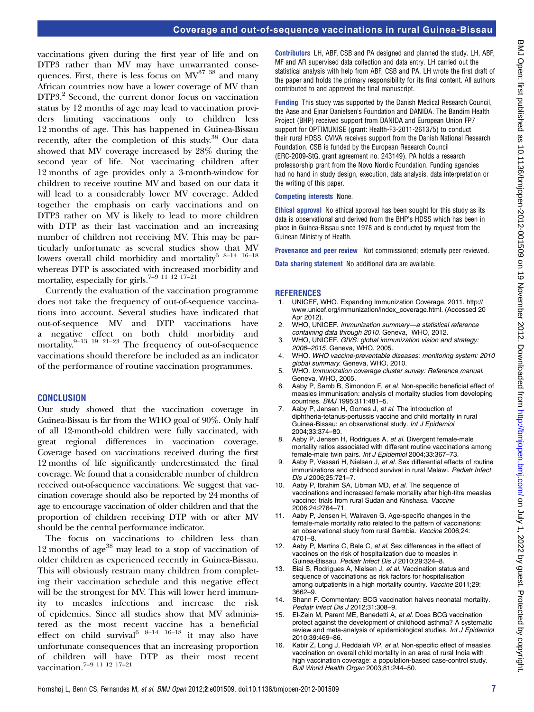vaccinations given during the first year of life and on DTP3 rather than MV may have unwarranted consequences. First, there is less focus on  $MV^{37}$  <sup>38</sup> and many African countries now have a lower coverage of MV than DTP3.<sup>2</sup> Second, the current donor focus on vaccination status by 12 months of age may lead to vaccination providers limiting vaccinations only to children less 12 months of age. This has happened in Guinea-Bissau recently, after the completion of this study.<sup>38</sup> Our data showed that MV coverage increased by 28% during the second year of life. Not vaccinating children after 12 months of age provides only a 3-month-window for children to receive routine MV and based on our data it will lead to a considerably lower MV coverage. Added together the emphasis on early vaccinations and on DTP3 rather on MV is likely to lead to more children with DTP as their last vaccination and an increasing number of children not receiving MV. This may be particularly unfortunate as several studies show that MV lowers overall child morbidity and mortality $^{6-8-14-16-18}$ whereas DTP is associated with increased morbidity and mortality, especially for girls.7–9 11 12 17–<sup>21</sup>

Currently the evaluation of the vaccination programme does not take the frequency of out-of-sequence vaccinations into account. Several studies have indicated that out-of-sequence MV and DTP vaccinations have a negative effect on both child morbidity and mortality.<sup>9–13</sup> <sup>19</sup> <sup>21–23</sup> The frequency of out-of-sequence vaccinations should therefore be included as an indicator of the performance of routine vaccination programmes.

#### **CONCLUSION**

Our study showed that the vaccination coverage in Guinea-Bissau is far from the WHO goal of 90%. Only half of all 12-month-old children were fully vaccinated, with great regional differences in vaccination coverage. Coverage based on vaccinations received during the first 12 months of life significantly underestimated the final coverage. We found that a considerable number of children received out-of-sequence vaccinations. We suggest that vaccination coverage should also be reported by 24 months of age to encourage vaccination of older children and that the proportion of children receiving DTP with or after MV should be the central performance indicator.

The focus on vaccinations to children less than 12 months of age<sup>38</sup> may lead to a stop of vaccination of older children as experienced recently in Guinea-Bissau. This will obviously restrain many children from completing their vaccination schedule and this negative effect will be the strongest for MV. This will lower herd immunity to measles infections and increase the risk of epidemics. Since all studies show that MV administered as the most recent vaccine has a beneficial effect on child survival<sup>6 8–14</sup> <sup>16–18</sup> it may also have unfortunate consequences that an increasing proportion of children will have DTP as their most recent vaccination.<sup>7–9</sup> <sup>11</sup> <sup>11</sup> 12<sup>-17</sup>-21

Contributors LH, ABF, CSB and PA designed and planned the study. LH, ABF, MF and AR supervised data collection and data entry. LH carried out the statistical analysis with help from ABF, CSB and PA. LH wrote the first draft of the paper and holds the primary responsibility for its final content. All authors contributed to and approved the final manuscript.

Funding This study was supported by the Danish Medical Research Council, the Aase and Ejnar Danielsen's Foundation and DANIDA. The Bandim Health Project (BHP) received support from DANIDA and European Union FP7 support for OPTIMUNISE (grant: Health-F3-2011-261375) to conduct their rural HDSS. CVIVA receives support from the Danish National Research Foundation. CSB is funded by the European Research Council (ERC-2009-StG, grant agreement no. 243149). PA holds a research professorship grant from the Novo Nordic Foundation. Funding agencies had no hand in study design, execution, data analysis, data interpretation or the writing of this paper.

#### Competing interests None.

Ethical approval No ethical approval has been sought for this study as its data is observational and derived from the BHP's HDSS which has been in place in Guinea-Bissau since 1978 and is conducted by request from the Guinean Ministry of Health.

Provenance and peer review Not commissioned; externally peer reviewed.

Data sharing statement No additional data are available.

#### **REFERENCES**

- 1. UNICEF, WHO. Expanding Immunization Coverage. 2011. [http://](http://www.unicef.org/immunization/index_coverage.html) [www.unicef.org/immunization/index\\_coverage.html](http://www.unicef.org/immunization/index_coverage.html). (Accessed 20 Apr 2012)
- WHO, UNICEF. Immunization summary-a statistical reference containing data through 2010. Geneva, WHO, 2012.
- 3. WHO, UNICEF. GIVS: global immunization vision and strategy: 2006–2015. Geneva, WHO, 2005.
- 4. WHO. WHO vaccine-preventable diseases: monitoring system: 2010 global summary. Geneva, WHO, 2010.
- 5. WHO. Immunization coverage cluster survey: Reference manual. Geneva, WHO, 2005.
- 6. Aaby P, Samb B, Simondon F, et al. Non-specific beneficial effect of measles immunisation: analysis of mortality studies from developing countries. BMJ 1995;311:481–5.
- 7. Aaby P, Jensen H, Gomes J, et al. The introduction of diphtheria-tetanus-pertussis vaccine and child mortality in rural Guinea-Bissau: an observational study. Int J Epidemiol 2004;33:374–80.
- 8. Aaby P, Jensen H, Rodrigues A, et al. Divergent female-male mortality ratios associated with different routine vaccinations among female-male twin pairs. Int J Epidemiol 2004;33:367–73.
- 9. Aaby P, Vessari H, Nielsen J, et al. Sex differential effects of routine immunizations and childhood survival in rural Malawi. Pediatr Infect Dis J 2006;25:721–7.
- 10. Aaby P, Ibrahim SA, Libman MD, et al. The sequence of vaccinations and increased female mortality after high-titre measles vaccine: trials from rural Sudan and Kinshasa. Vaccine 2006;24:2764–71.
- 11. Aaby P, Jensen H, Walraven G. Age-specific changes in the female-male mortality ratio related to the pattern of vaccinations: an observational study from rural Gambia. Vaccine 2006;24: 4701–8.
- 12. Aaby P, Martins C, Bale C, et al. Sex differences in the effect of vaccines on the risk of hospitalization due to measles in Guinea-Bissau. Pediatr Infect Dis J 2010;29:324–8.
- 13. Biai S, Rodrigues A, Nielsen J, et al. Vaccination status and sequence of vaccinations as risk factors for hospitalisation among outpatients in a high mortality country. Vaccine 2011;29: 3662–9.
- 14. Shann F. Commentary: BCG vaccination halves neonatal mortality. Pediatr Infect Dis J 2012;31:308–9.
- 15. El-Zein M, Parent ME, Benedetti A, et al. Does BCG vaccination protect against the development of childhood asthma? A systematic review and meta-analysis of epidemiological studies. Int J Epidemiol 2010;39:469–86.
- 16. Kabir Z, Long J, Reddaiah VP, et al. Non-specific effect of measles vaccination on overall child mortality in an area of rural India with high vaccination coverage: a population-based case-control study. Bull World Health Organ 2003;81:244–50.